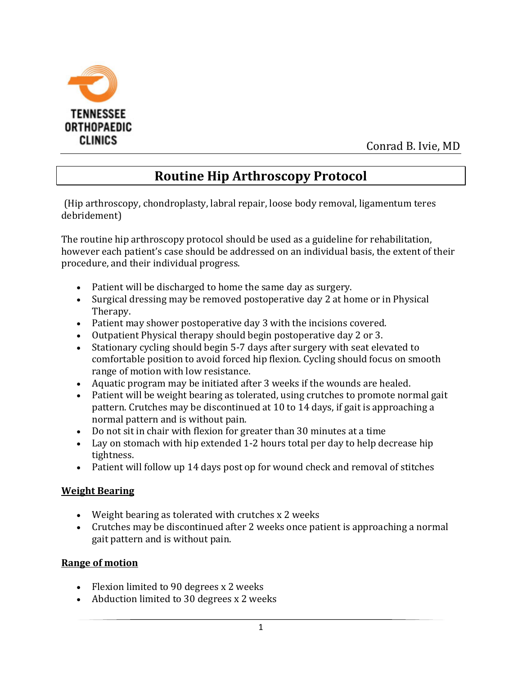

Conrad B. Ivie, MD

# **Routine Hip Arthroscopy Protocol**

(Hip arthroscopy, chondroplasty, labral repair, loose body removal, ligamentum teres debridement)

The routine hip arthroscopy protocol should be used as a guideline for rehabilitation, however each patient's case should be addressed on an individual basis, the extent of their procedure, and their individual progress.

- Patient will be discharged to home the same day as surgery.
- Surgical dressing may be removed postoperative day 2 at home or in Physical Therapy.
- Patient may shower postoperative day 3 with the incisions covered.
- Outpatient Physical therapy should begin postoperative day 2 or 3.
- Stationary cycling should begin 5-7 days after surgery with seat elevated to comfortable position to avoid forced hip flexion. Cycling should focus on smooth range of motion with low resistance.
- Aquatic program may be initiated after 3 weeks if the wounds are healed.
- Patient will be weight bearing as tolerated, using crutches to promote normal gait pattern. Crutches may be discontinued at 10 to 14 days, if gait is approaching a normal pattern and is without pain.
- Do not sit in chair with flexion for greater than 30 minutes at a time
- Lay on stomach with hip extended 1-2 hours total per day to help decrease hip tightness.
- Patient will follow up 14 days post op for wound check and removal of stitches

#### **Weight Bearing**

- Weight bearing as tolerated with crutches x 2 weeks
- Crutches may be discontinued after 2 weeks once patient is approaching a normal gait pattern and is without pain.

#### **Range of motion**

- Flexion limited to 90 degrees x 2 weeks
- Abduction limited to 30 degrees x 2 weeks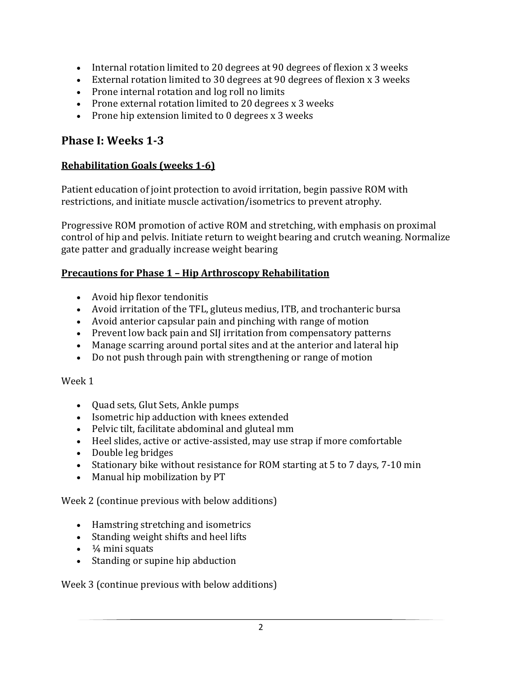- Internal rotation limited to 20 degrees at 90 degrees of flexion x 3 weeks
- External rotation limited to 30 degrees at 90 degrees of flexion x 3 weeks
- Prone internal rotation and log roll no limits
- Prone external rotation limited to 20 degrees x 3 weeks
- Prone hip extension limited to 0 degrees x 3 weeks

### **Phase I: Weeks 1-3**

#### **Rehabilitation Goals (weeks 1-6)**

Patient education of joint protection to avoid irritation, begin passive ROM with restrictions, and initiate muscle activation/isometrics to prevent atrophy.

Progressive ROM promotion of active ROM and stretching, with emphasis on proximal control of hip and pelvis. Initiate return to weight bearing and crutch weaning. Normalize gate patter and gradually increase weight bearing

#### **Precautions for Phase 1 – Hip Arthroscopy Rehabilitation**

- Avoid hip flexor tendonitis
- Avoid irritation of the TFL, gluteus medius, ITB, and trochanteric bursa
- Avoid anterior capsular pain and pinching with range of motion
- Prevent low back pain and SIJ irritation from compensatory patterns
- Manage scarring around portal sites and at the anterior and lateral hip
- Do not push through pain with strengthening or range of motion

#### Week 1

- Quad sets, Glut Sets, Ankle pumps
- Isometric hip adduction with knees extended
- Pelvic tilt, facilitate abdominal and gluteal mm
- Heel slides, active or active-assisted, may use strap if more comfortable
- Double leg bridges
- Stationary bike without resistance for ROM starting at 5 to 7 days, 7-10 min
- Manual hip mobilization by PT

Week 2 (continue previous with below additions)

- Hamstring stretching and isometrics
- Standing weight shifts and heel lifts
- $\cdot$   $\frac{1}{4}$  mini squats
- Standing or supine hip abduction

Week 3 (continue previous with below additions)